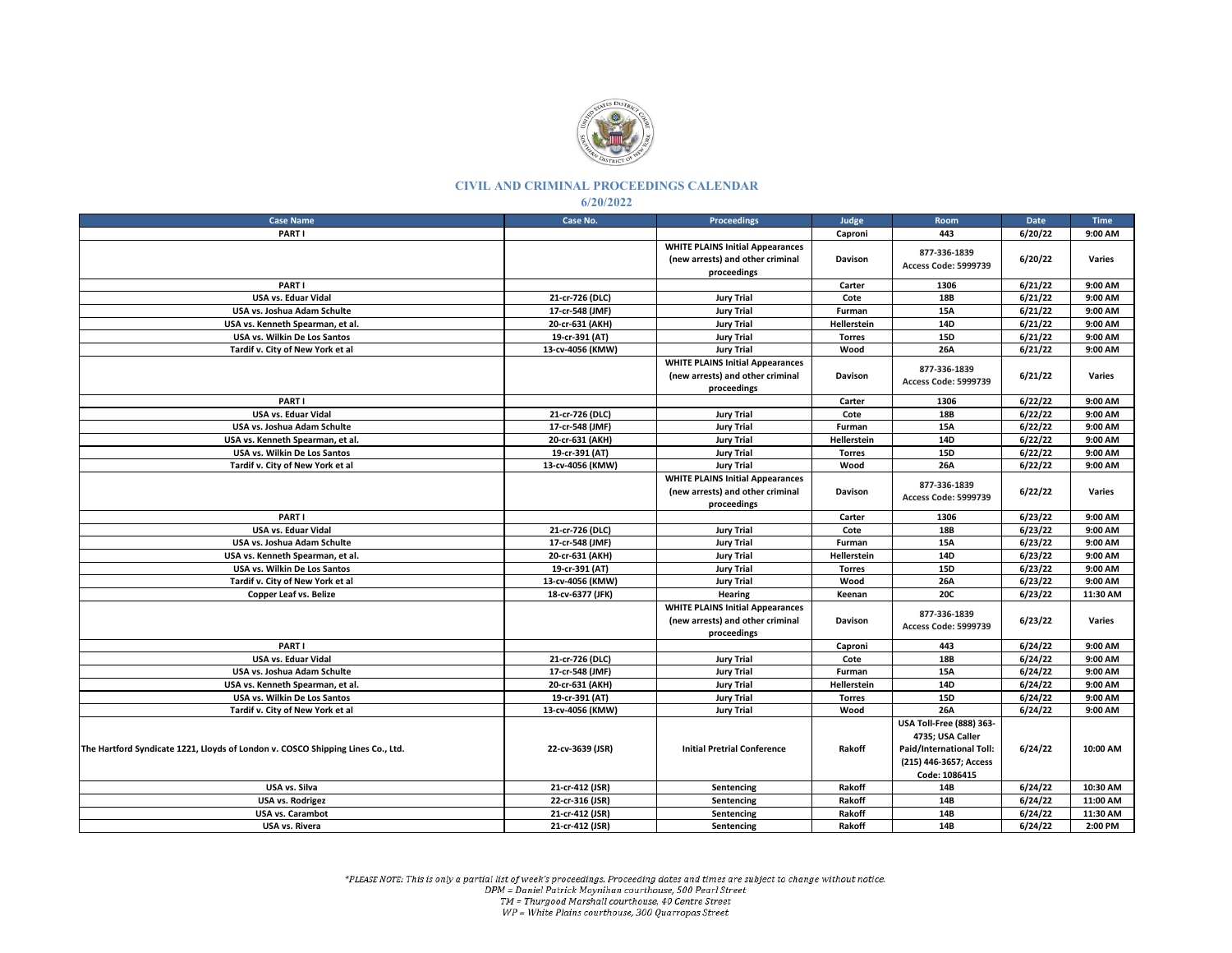

## **CIVIL AND CRIMINAL PROCEEDINGS CALENDAR**

**6/20/2022**

| <b>Case Name</b>                                                                | Case No.         | <b>Proceedings</b>                                                                         | Judge              | Room                                                                                                                       | Date    | <b>Time</b> |
|---------------------------------------------------------------------------------|------------------|--------------------------------------------------------------------------------------------|--------------------|----------------------------------------------------------------------------------------------------------------------------|---------|-------------|
| PART I                                                                          |                  |                                                                                            | Caproni            | 443                                                                                                                        | 6/20/22 | 9:00 AM     |
|                                                                                 |                  | <b>WHITE PLAINS Initial Appearances</b><br>(new arrests) and other criminal<br>proceedings | Davison            | 877-336-1839<br>Access Code: 5999739                                                                                       | 6/20/22 | Varies      |
| PART I                                                                          |                  |                                                                                            | Carter             | 1306                                                                                                                       | 6/21/22 | 9:00 AM     |
| <b>USA vs. Eduar Vidal</b>                                                      | 21-cr-726 (DLC)  | <b>Jury Trial</b>                                                                          | Cote               | <b>18B</b>                                                                                                                 | 6/21/22 | 9:00 AM     |
| USA vs. Joshua Adam Schulte                                                     | 17-cr-548 (JMF)  | <b>Jury Trial</b>                                                                          | Furman             | 15A                                                                                                                        | 6/21/22 | 9:00 AM     |
| USA vs. Kenneth Spearman, et al.                                                | 20-cr-631 (AKH)  | <b>Jury Trial</b>                                                                          | Hellerstein        | 14D                                                                                                                        | 6/21/22 | 9:00 AM     |
| USA vs. Wilkin De Los Santos                                                    | 19-cr-391 (AT)   | <b>Jury Trial</b>                                                                          | <b>Torres</b>      | 15D                                                                                                                        | 6/21/22 | 9:00 AM     |
| Tardif v. City of New York et al                                                | 13-cv-4056 (KMW) | <b>Jury Trial</b>                                                                          | Wood               | 26A                                                                                                                        | 6/21/22 | 9:00 AM     |
|                                                                                 |                  | <b>WHITE PLAINS Initial Appearances</b><br>(new arrests) and other criminal<br>proceedings | <b>Davison</b>     | 877-336-1839<br>Access Code: 5999739                                                                                       | 6/21/22 | Varies      |
| PART I                                                                          |                  |                                                                                            | Carter             | 1306                                                                                                                       | 6/22/22 | 9:00 AM     |
| <b>USA vs. Eduar Vidal</b>                                                      | 21-cr-726 (DLC)  | <b>Jury Trial</b>                                                                          | Cote               | 18B                                                                                                                        | 6/22/22 | 9:00 AM     |
| USA vs. Joshua Adam Schulte                                                     | 17-cr-548 (JMF)  | <b>Jury Trial</b>                                                                          | Furman             | 15A                                                                                                                        | 6/22/22 | 9:00 AM     |
| USA vs. Kenneth Spearman, et al.                                                | 20-cr-631 (AKH)  | <b>Jury Trial</b>                                                                          | Hellerstein        | 14D                                                                                                                        | 6/22/22 | 9:00 AM     |
| USA vs. Wilkin De Los Santos                                                    | 19-cr-391 (AT)   | <b>Jury Trial</b>                                                                          | <b>Torres</b>      | <b>15D</b>                                                                                                                 | 6/22/22 | 9:00 AM     |
| Tardif v. City of New York et al                                                | 13-cv-4056 (KMW) | <b>Jury Trial</b>                                                                          | Wood               | 26A                                                                                                                        | 6/22/22 | 9:00 AM     |
|                                                                                 |                  | <b>WHITE PLAINS Initial Appearances</b><br>(new arrests) and other criminal<br>proceedings | <b>Davison</b>     | 877-336-1839<br>Access Code: 5999739                                                                                       | 6/22/22 | Varies      |
| PART I                                                                          |                  |                                                                                            | Carter             | 1306                                                                                                                       | 6/23/22 | 9:00 AM     |
| USA vs. Eduar Vidal                                                             | 21-cr-726 (DLC)  | <b>Jury Trial</b>                                                                          | Cote               | 18B                                                                                                                        | 6/23/22 | 9:00 AM     |
| USA vs. Joshua Adam Schulte                                                     | 17-cr-548 (JMF)  | <b>Jury Trial</b>                                                                          | Furman             | <b>15A</b>                                                                                                                 | 6/23/22 | 9:00 AM     |
| USA vs. Kenneth Spearman, et al.                                                | 20-cr-631 (AKH)  | <b>Jury Trial</b>                                                                          | <b>Hellerstein</b> | 14D                                                                                                                        | 6/23/22 | 9:00 AM     |
| USA vs. Wilkin De Los Santos                                                    | 19-cr-391 (AT)   | <b>Jury Trial</b>                                                                          | <b>Torres</b>      | 15D                                                                                                                        | 6/23/22 | 9:00 AM     |
| Tardif v. City of New York et al                                                | 13-cv-4056 (KMW) | <b>Jury Trial</b>                                                                          | Wood               | 26A                                                                                                                        | 6/23/22 | 9:00 AM     |
| <b>Copper Leaf vs. Belize</b>                                                   | 18-cv-6377 (JFK) | Hearing                                                                                    | Keenan             | <b>20C</b>                                                                                                                 | 6/23/22 | 11:30 AM    |
|                                                                                 |                  | <b>WHITE PLAINS Initial Appearances</b><br>(new arrests) and other criminal<br>proceedings | <b>Davison</b>     | 877-336-1839<br>Access Code: 5999739                                                                                       | 6/23/22 | Varies      |
| PART I                                                                          |                  |                                                                                            | Caproni            | 443                                                                                                                        | 6/24/22 | 9:00 AM     |
| USA vs. Eduar Vidal                                                             | 21-cr-726 (DLC)  | <b>Jury Trial</b>                                                                          | Cote               | 18B                                                                                                                        | 6/24/22 | 9:00 AM     |
| USA vs. Joshua Adam Schulte                                                     | 17-cr-548 (JMF)  | <b>Jury Trial</b>                                                                          | Furman             | <b>15A</b>                                                                                                                 | 6/24/22 | 9:00 AM     |
| USA vs. Kenneth Spearman, et al.                                                | 20-cr-631 (AKH)  | <b>Jury Trial</b>                                                                          | Hellerstein        | 14D                                                                                                                        | 6/24/22 | 9:00 AM     |
| USA vs. Wilkin De Los Santos                                                    | 19-cr-391 (AT)   | <b>Jury Trial</b>                                                                          | <b>Torres</b>      | <b>15D</b>                                                                                                                 | 6/24/22 | 9:00 AM     |
| Tardif v. City of New York et al                                                | 13-cv-4056 (KMW) | <b>Jury Trial</b>                                                                          | Wood               | 26A                                                                                                                        | 6/24/22 | 9:00 AM     |
| The Hartford Syndicate 1221, Lloyds of London v. COSCO Shipping Lines Co., Ltd. | 22-cv-3639 (JSR) | <b>Initial Pretrial Conference</b>                                                         | Rakoff             | <b>USA Toll-Free (888) 363-</b><br>4735; USA Caller<br>Paid/International Toll:<br>(215) 446-3657; Access<br>Code: 1086415 | 6/24/22 | 10:00 AM    |
| USA vs. Silva                                                                   | 21-cr-412 (JSR)  | Sentencing                                                                                 | Rakoff             | 14B                                                                                                                        | 6/24/22 | 10:30 AM    |
| <b>USA vs. Rodrigez</b>                                                         | 22-cr-316 (JSR)  | Sentencing                                                                                 | Rakoff             | 14B                                                                                                                        | 6/24/22 | 11:00 AM    |
| <b>USA vs. Carambot</b>                                                         | 21-cr-412 (JSR)  | Sentencing                                                                                 | Rakoff             | 14B                                                                                                                        | 6/24/22 | 11:30 AM    |
| USA vs. Rivera                                                                  | 21-cr-412 (JSR)  | Sentencing                                                                                 | Rakoff             | 14B                                                                                                                        | 6/24/22 | 2:00 PM     |

\*PLEASE NOTE: This is only a partial list of week's proceedings. Proceeding dates and times are subject to change without notice.<br>DPM = Daniel Patrick Moynihan courthouse, 500 Pearl Street<br>TM = Thurgood Marshall courthouse